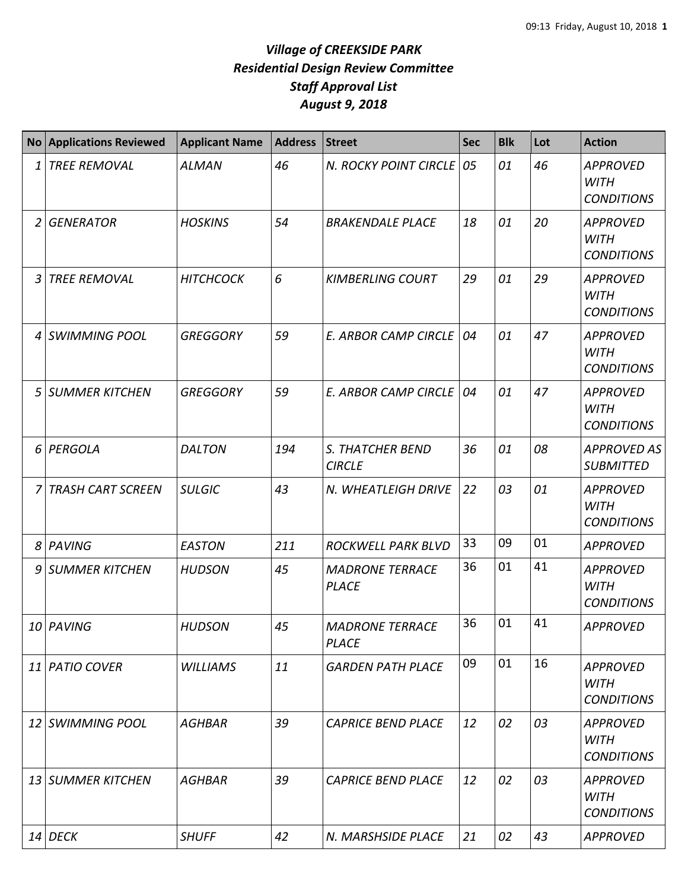## *Village of CREEKSIDE PARK Residential Design Review Committee Staff Approval List August 9, 2018*

|    | <b>No Applications Reviewed</b> | <b>Applicant Name</b> | <b>Address</b> | <b>Street</b>                            | <b>Sec</b> | <b>Blk</b> | Lot | <b>Action</b>                                       |
|----|---------------------------------|-----------------------|----------------|------------------------------------------|------------|------------|-----|-----------------------------------------------------|
| 1  | <b>TREE REMOVAL</b>             | <b>ALMAN</b>          | 46             | N. ROCKY POINT CIRCLE                    | 05         | 01         | 46  | <b>APPROVED</b><br><b>WITH</b><br><b>CONDITIONS</b> |
| 2  | <b>GENERATOR</b>                | <b>HOSKINS</b>        | 54             | <b>BRAKENDALE PLACE</b>                  | 18         | 01         | 20  | <b>APPROVED</b><br><b>WITH</b><br><b>CONDITIONS</b> |
| 3  | <b>TREE REMOVAL</b>             | <b>HITCHCOCK</b>      | 6              | <b>KIMBERLING COURT</b>                  | 29         | 01         | 29  | <b>APPROVED</b><br><b>WITH</b><br><b>CONDITIONS</b> |
| 4  | <b>SWIMMING POOL</b>            | <b>GREGGORY</b>       | 59             | <b>E. ARBOR CAMP CIRCLE</b>              | 04         | 01         | 47  | <b>APPROVED</b><br><b>WITH</b><br><b>CONDITIONS</b> |
| 5  | <b>SUMMER KITCHEN</b>           | <b>GREGGORY</b>       | 59             | <b>E. ARBOR CAMP CIRCLE</b>              | 04         | 01         | 47  | <b>APPROVED</b><br><b>WITH</b><br><b>CONDITIONS</b> |
| 6  | PERGOLA                         | <b>DALTON</b>         | 194            | <b>S. THATCHER BEND</b><br><b>CIRCLE</b> | 36         | 01         | 08  | <b>APPROVED AS</b><br><b>SUBMITTED</b>              |
|    | <b>TRASH CART SCREEN</b>        | <b>SULGIC</b>         | 43             | N. WHEATLEIGH DRIVE                      | 22         | 03         | 01  | <b>APPROVED</b><br><b>WITH</b><br><b>CONDITIONS</b> |
| 8  | PAVING                          | <b>EASTON</b>         | 211            | <b>ROCKWELL PARK BLVD</b>                | 33         | 09         | 01  | <b>APPROVED</b>                                     |
| 9  | <b>SUMMER KITCHEN</b>           | <b>HUDSON</b>         | 45             | <b>MADRONE TERRACE</b><br><b>PLACE</b>   | 36         | 01         | 41  | <b>APPROVED</b><br><b>WITH</b><br><b>CONDITIONS</b> |
|    | 10 PAVING                       | <b>HUDSON</b>         | 45             | <b>MADRONE TERRACE</b><br><b>PLACE</b>   | 36         | 01         | 41  | <b>APPROVED</b>                                     |
|    | 11 PATIO COVER                  | <b>WILLIAMS</b>       | 11             | <b>GARDEN PATH PLACE</b>                 | 09         | 01         | 16  | <b>APPROVED</b><br><b>WITH</b><br><b>CONDITIONS</b> |
| 12 | SWIMMING POOL                   | <b>AGHBAR</b>         | 39             | <b>CAPRICE BEND PLACE</b>                | 12         | 02         | 03  | <b>APPROVED</b><br><b>WITH</b><br><b>CONDITIONS</b> |
| 13 | SUMMER KITCHEN                  | <b>AGHBAR</b>         | 39             | <b>CAPRICE BEND PLACE</b>                | 12         | 02         | 03  | <b>APPROVED</b><br>WITH<br><b>CONDITIONS</b>        |
|    | $14$ DECK                       | <b>SHUFF</b>          | 42             | N. MARSHSIDE PLACE                       | 21         | 02         | 43  | <b>APPROVED</b>                                     |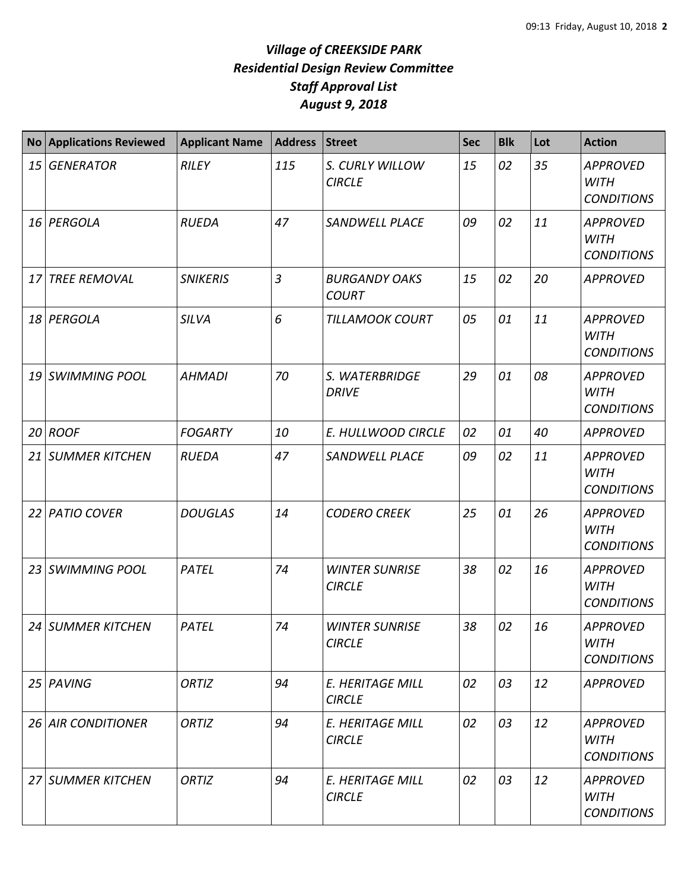## *Village of CREEKSIDE PARK Residential Design Review Committee Staff Approval List August 9, 2018*

|                 | <b>No Applications Reviewed</b> | <b>Applicant Name</b> | Address        | <b>Street</b>                          | <b>Sec</b> | <b>Blk</b> | Lot | <b>Action</b>                                       |
|-----------------|---------------------------------|-----------------------|----------------|----------------------------------------|------------|------------|-----|-----------------------------------------------------|
| 15              | <b>GENERATOR</b>                | <b>RILEY</b>          | 115            | S. CURLY WILLOW<br><b>CIRCLE</b>       | 15         | 02         | 35  | <b>APPROVED</b><br><b>WITH</b><br><b>CONDITIONS</b> |
|                 | 16 PERGOLA                      | <b>RUEDA</b>          | 47             | <b>SANDWELL PLACE</b>                  | 09         | 02         | 11  | <b>APPROVED</b><br><b>WITH</b><br><b>CONDITIONS</b> |
| 17              | <b>TREE REMOVAL</b>             | <b>SNIKERIS</b>       | $\overline{3}$ | <b>BURGANDY OAKS</b><br><b>COURT</b>   | 15         | 02         | 20  | <b>APPROVED</b>                                     |
| 18              | PERGOLA                         | <b>SILVA</b>          | 6              | <b>TILLAMOOK COURT</b>                 | 05         | 01         | 11  | <b>APPROVED</b><br><b>WITH</b><br><b>CONDITIONS</b> |
| 19              | <b>SWIMMING POOL</b>            | <b>AHMADI</b>         | 70             | S. WATERBRIDGE<br><b>DRIVE</b>         | 29         | 01         | 08  | <b>APPROVED</b><br><b>WITH</b><br><b>CONDITIONS</b> |
| 20              | <b>ROOF</b>                     | <b>FOGARTY</b>        | 10             | E. HULLWOOD CIRCLE                     | 02         | 01         | 40  | <b>APPROVED</b>                                     |
| 21              | <b>SUMMER KITCHEN</b>           | <b>RUEDA</b>          | 47             | <b>SANDWELL PLACE</b>                  | 09         | 02         | 11  | <b>APPROVED</b><br><b>WITH</b><br><b>CONDITIONS</b> |
| 22              | <b>PATIO COVER</b>              | <b>DOUGLAS</b>        | 14             | <b>CODERO CREEK</b>                    | 25         | 01         | 26  | <b>APPROVED</b><br><b>WITH</b><br><b>CONDITIONS</b> |
| 23              | <b>SWIMMING POOL</b>            | <b>PATEL</b>          | 74             | <b>WINTER SUNRISE</b><br><b>CIRCLE</b> | 38         | 02         | 16  | <b>APPROVED</b><br><b>WITH</b><br><b>CONDITIONS</b> |
|                 | 24 SUMMER KITCHEN               | PATEL                 | 74             | <b>WINTER SUNRISE</b><br><b>CIRCLE</b> | 38         | 02         | 16  | <b>APPROVED</b><br><b>WITH</b><br><b>CONDITIONS</b> |
|                 | 25 PAVING                       | <b>ORTIZ</b>          | 94             | E. HERITAGE MILL<br><b>CIRCLE</b>      | 02         | 03         | 12  | <b>APPROVED</b>                                     |
| 26 <sup>1</sup> | <b>AIR CONDITIONER</b>          | ORTIZ                 | 94             | E. HERITAGE MILL<br><b>CIRCLE</b>      | 02         | 03         | 12  | <b>APPROVED</b><br><b>WITH</b><br><b>CONDITIONS</b> |
|                 | 27 SUMMER KITCHEN               | <b>ORTIZ</b>          | 94             | E. HERITAGE MILL<br><b>CIRCLE</b>      | 02         | 03         | 12  | <b>APPROVED</b><br><b>WITH</b><br><b>CONDITIONS</b> |